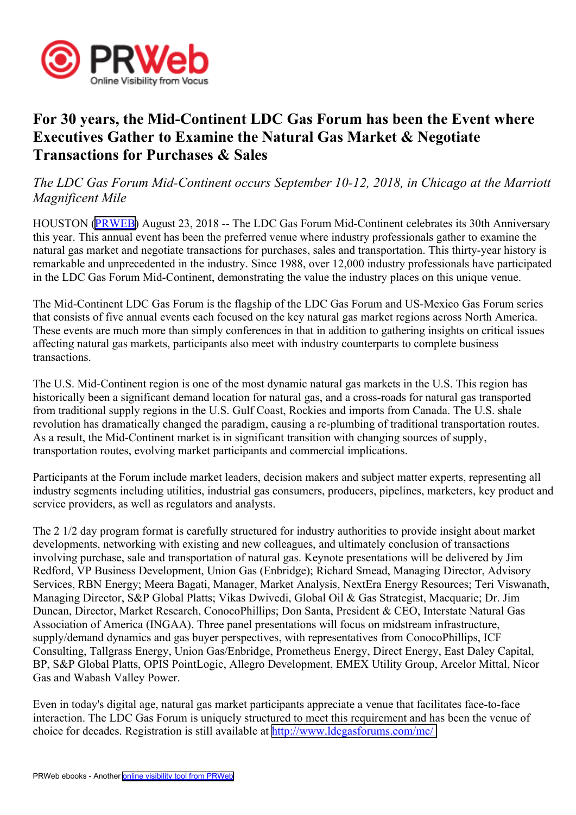

## **For 30 years, the Mid-Continent LDC Gas Forum has been the Event where Executives Gather to Examine the Natural Gas Market & Negotiate Transactions for Purchases & Sales**

## *The LDC Gas Forum Mid-Continent occurs September 10-12, 2018, in Chicago at the Marriott Magnificent Mile*

HOUSTON [\(PRWEB\)](http://www.prweb.com) August 23, 2018 -- The LDC Gas Forum Mid-Continent celebrates its 30th Anniversary this year. This annual event has been the preferred venue where industry professionals gather to examine the natural gas market and negotiate transactions for purchases, sales and transportation. This thirty-year history is remarkable and unprecedented in the industry. Since 1988, over 12,000 industry professionals have participated in the LDC Gas Forum Mid-Continent, demonstrating the value the industry places on this unique venue.

The Mid-Continent LDC Gas Forum is the flagship of the LDC Gas Forum and US-Mexico Gas Forum series that consists of five annual events each focused on the key natural gas market regions across North America. These events are much more than simply conferences in that in addition to gathering insights on critical issues affecting natural gas markets, participants also meet with industry counterparts to complete business transactions.

The U.S. Mid-Continent region is one of the most dynamic natural gas markets in the U.S. This region has historically been <sup>a</sup> significant demand location for natural gas, and <sup>a</sup> cross-roads for natural gas transported from traditional supply regions in the U.S. Gulf Coast, Rockies and imports from Canada. The U.S. shale revolution has dramatically changed the paradigm, causing <sup>a</sup> re-plumbing of traditional transportation routes. As <sup>a</sup> result, the Mid-Continent market is in significant transition with changing sources of supply, transportation routes, evolving market participants and commercial implications.

Participants at the Forum include market leaders, decision makers and subject matter experts, representing all industry segments including utilities, industrial gas consumers, producers, pipelines, marketers, key product and service providers, as well as regulators and analysts.

The 2 1/2 day program format is carefully structured for industry authorities to provide insight about market developments, networking with existing and new colleagues, and ultimately conclusion of transactions involving purchase, sale and transportation of natural gas. Keynote presentations will be delivered by Jim Redford, VP Business Development, Union Gas (Enbridge); Richard Smead, Managing Director, Advisory Services, RBN Energy; Meera Bagati, Manager, Market Analysis, NextEra Energy Resources; Teri Viswanath, Managing Director, S&P Global Platts; Vikas Dwivedi, Global Oil & Gas Strategist, Macquarie; Dr. Jim Duncan, Director, Market Research, ConocoPhillips; Don Santa, President & CEO, Interstate Natural Gas Association of America (INGAA). Three panel presentations will focus on midstream infrastructure, supply/demand dynamics and gas buyer perspectives, with representatives from ConocoPhillips, ICF Consulting, Tallgrass Energy, Union Gas/Enbridge, Prometheus Energy, Direct Energy, East Daley Capital, BP, S&P Global Platts, OPIS PointLogic, Allegro Development, EMEX Utility Group, Arcelor Mittal, Nicor Gas and Wabash Valley Power.

Even in today's digital age, natural gas market participants appreciate <sup>a</sup> venue that facilitates face-to-face interaction. The LDC Gas Forum is uniquely structured to meet this requirement and has been the venue of choice for decades. Registration is still available at <http://www.ldcgasforums.com/mc/>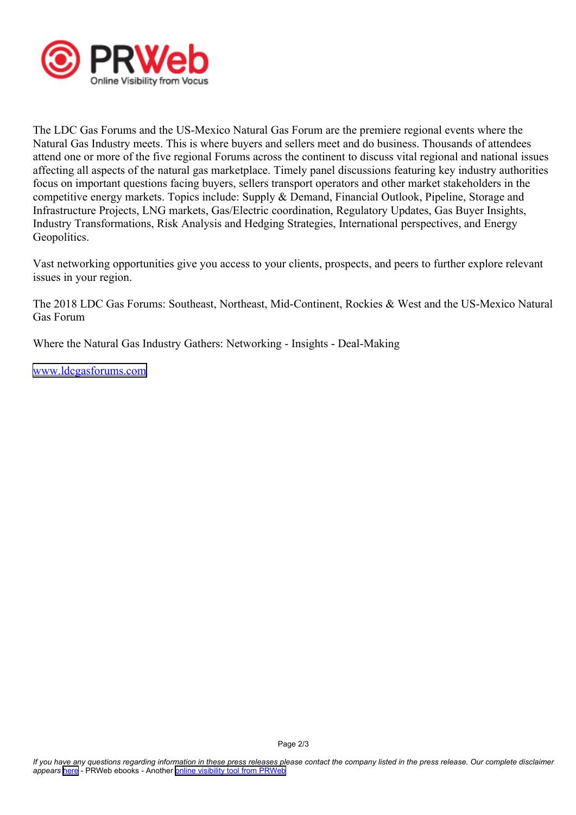

The LDC Gas Forums and the US-Mexico Natural Gas Forum are the premiere regional events where the Natural Gas Industry meets. This is where buyers and sellers meet and do business. Thousands of attendees attend one or more of the five regional Forums across the continent to discuss vital regional and national issues affecting all aspects of the natural gas marketplace. Timely panel discussions featuring key industry authorities focus on important questions facing buyers, sellers transport operators and other market stakeholders in the competitive energy markets. Topics include: Supply & Demand, Financial Outlook, Pipeline, Storage and Infrastructure Projects, LNG markets, Gas/Electric coordination, Regulatory Updates, Gas Buyer Insights, Industry Transformations, Risk Analysis and Hedging Strategies, International perspectives, and Energy Geopolitics.

Vast networking opportunities give you access to your clients, prospects, and peers to further explore relevant issues in your region.

The 2018 LDC Gas Forums: Southeast, Northeast, Mid-Continent, Rockies & West and the US-Mexico Natural Gas Forum

Where the Natural Gas Industry Gathers: Networking - Insights - Deal-Making

[www.ldcgasforums.com](http://www.ldcgasforums.com)